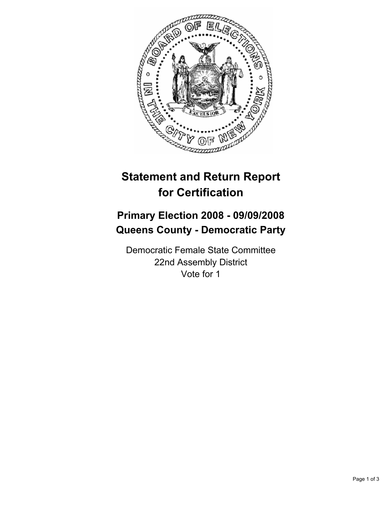

## **Statement and Return Report for Certification**

## **Primary Election 2008 - 09/09/2008 Queens County - Democratic Party**

Democratic Female State Committee 22nd Assembly District Vote for 1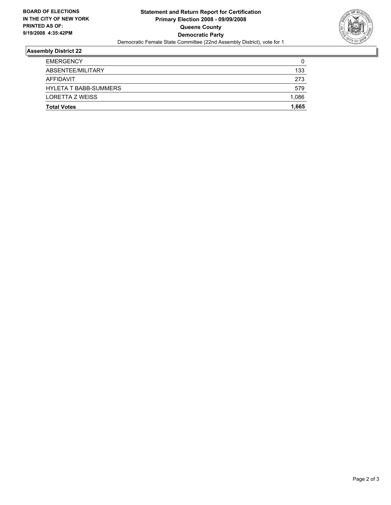

## **Assembly District 22**

| <b>Total Votes</b>           | 1,665 |
|------------------------------|-------|
| LORETTA Z WEISS              | 1,086 |
| <b>HYLETA T BABB-SUMMERS</b> | 579   |
| AFFIDAVIT                    | 273   |
| ABSENTEE/MILITARY            | 133   |
| <b>EMERGENCY</b>             | 0     |